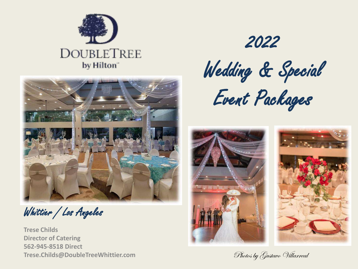



Whittier / Los Angeles

**Trese Childs Director of Catering 562-945-8518 Direct Trese.Childs@DoubleTreeWhittier.com Photos by Gustave Willarreal** 

2022 Wedding & Special



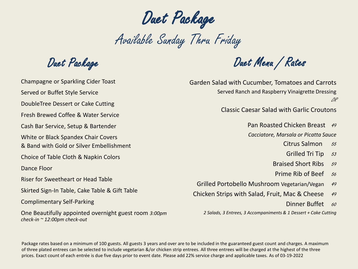Duet Package

Available Sunday Thru Friday

Duet Package

Champagne or Sparkling Cider Toast Served or Buffet Style Service DoubleTree Dessert or Cake Cutting Fresh Brewed Coffee & Water Service Cash Bar Service, Setup & Bartender White or Black Spandex Chair Covers & Band with Gold or Silver Embellishment Choice of Table Cloth & Napkin Colors Dance Floor Riser for Sweetheart or Head Table Skirted Sign-In Table, Cake Table & Gift Table Complimentary Self-Parking One Beautifully appointed overnight guest room *3:00pm check-in ~ 12:00pm check-out*

Duet Menu / Rates

Garden Salad with Cucumber, Tomatoes and Carrots Served Ranch and Raspberry Vinaigrette Dressing OR

Classic Caesar Salad with Garlic Croutons

Pan Roasted Chicken Breast 49

*Cacciatore, Marsala or Picatta Sauce*

Citrus Salmon 55

- Grilled Tri Tip  $53$
- Braised Short Ribs 59
- Prime Rib of Beef 56

Grilled Portobello Mushroom Vegetarian/Vegan 49

Chicken Strips with Salad, Fruit, Mac & Cheese 49

Dinner Buffet 60

*2 Salads, 3 Entrees, 3 Accompaniments & 1 Dessert + Cake Cutting*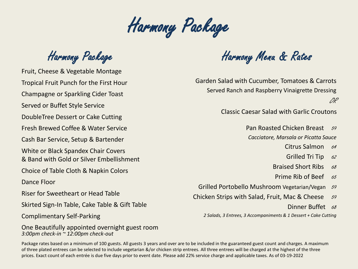Harmony Package

Harmony Package

Fruit, Cheese & Vegetable Montage Tropical Fruit Punch for the First Hour Champagne or Sparkling Cider Toast Served or Buffet Style Service DoubleTree Dessert or Cake Cutting Fresh Brewed Coffee & Water Service Cash Bar Service, Setup & Bartender White or Black Spandex Chair Covers & Band with Gold or Silver Embellishment Choice of Table Cloth & Napkin Colors Dance Floor Riser for Sweetheart or Head Table Skirted Sign-In Table, Cake Table & Gift Table Complimentary Self-Parking

One Beautifully appointed overnight guest room *3:00pm check-in ~ 12:00pm check-out*

Harmony Menu & Rates

Garden Salad with Cucumber, Tomatoes & Carrots Served Ranch and Raspberry Vinaigrette Dressing OR

Classic Caesar Salad with Garlic Croutons

Pan Roasted Chicken Breast 59

*Cacciatore, Marsala or Picatta Sauce*

Citrus Salmon 64

- Grilled Tri Tip  $62$
- Braised Short Ribs  $68$
- Prime Rib of Beef  $65$

Grilled Portobello Mushroom Vegetarian/Vegan 59

- Chicken Strips with Salad, Fruit, Mac & Cheese  $59$ 
	- Dinner Buffet 68

*2 Salads, 3 Entrees, 3 Accompaniments & 1 Dessert + Cake Cutting*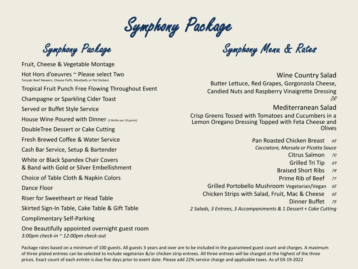Symphony Package

Fruit, Cheese & Vegetable Montage

Hot Hors d'oeuvres ~ Please select Two Teriyaki Beef Skewers, Cheese Puffs, Meatballs or Pot Stickers

Tropical Fruit Punch Free Flowing Throughout Event

Champagne or Sparkling Cider Toast

Served or Buffet Style Service

House Wine Poured with Dinner *(2 Bottles per 10 guests)*

DoubleTree Dessert or Cake Cutting

Fresh Brewed Coffee & Water Service

Cash Bar Service, Setup & Bartender

White or Black Spandex Chair Covers

& Band with Gold or Silver Embellishment

Choice of Table Cloth & Napkin Colors

Dance Floor

Riser for Sweetheart or Head Table

Skirted Sign-In Table, Cake Table & Gift Table

Complimentary Self-Parking

One Beautifully appointed overnight guest room *3:00pm check-in ~ 12:00pm check-out*

Symphony Package Symphony Menu & Rates

Wine Country Salad

Butter Lettuce, Red Grapes, Gorgonzola Cheese, Candied Nuts and Raspberry Vinaigrette Dressing OR

## Mediterranean Salad

Crisp Greens Tossed with Tomatoes and Cucumbers in a Lemon Oregano Dressing Topped with Feta Cheese and Olives

> Pan Roasted Chicken Breast 65 *Cacciatore, Marsala or Picatta Sauce*

- Citrus Salmon 70
- Grilled Tri Tip 69
- Braised Short Ribs 74
- Prime Rib of Beef 71
- Grilled Portobello Mushroom Vegetarian/Vegan 65

Chicken Strips with Salad, Fruit, Mac & Cheese  $65$ 

Dinner Buffet 75

*2 Salads, 3 Entrees, 3 Accompaniments & 1 Dessert + Cake Cutting*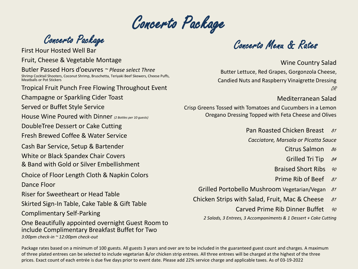Concerto Package

Fruit, Cheese & Vegetable Montage Butler Passed Hors d'oeuvres *~ Please select Three* Shrimp Cocktail Shooters, Coconut Shrimp, Bruschetta, Teriyaki Beef Skewers, Cheese Puffs, Meatballs or Pot Stickers Tropical Fruit Punch Free Flowing Throughout Event Champagne or Sparkling Cider Toast Served or Buffet Style Service House Wine Poured with Dinner *(2 Bottles per 10 guests)* DoubleTree Dessert or Cake Cutting Fresh Brewed Coffee & Water Service Cash Bar Service, Setup & Bartender White or Black Spandex Chair Covers & Band with Gold or Silver Embellishment Choice of Floor Length Cloth & Napkin Colors Dance Floor Riser for Sweetheart or Head Table Skirted Sign-In Table, Cake Table & Gift Table Complimentary Self-Parking One Beautifully appointed overnight Guest Room to include Complimentary Breakfast Buffet for Two *3:00pm check-in ~ 12:00pm check-out*

Concerto Package<br>First Hour Hosted Well Bar

Wine Country Salad Butter Lettuce, Red Grapes, Gorgonzola Cheese, Candied Nuts and Raspberry Vinaigrette Dressing OR

### Mediterranean Salad

Crisp Greens Tossed with Tomatoes and Cucumbers in a Lemon Oregano Dressing Topped with Feta Cheese and Olives

Pan Roasted Chicken Breast 81

*Cacciatore, Marsala or Picatta Sauce*

- Citrus Salmon  $86$
- Grilled Tri Tip  $84$
- Braised Short Ribs 90
- Prime Rib of Beef  $87$
- Grilled Portobello Mushroom Vegetarian/Vegan 81
- Chicken Strips with Salad, Fruit, Mac & Cheese  $81$ 
	- Carved Prime Rib Dinner Buffet  $90$

*2 Salads, 3 Entrees, 3 Accompaniments & 1 Dessert + Cake Cutting*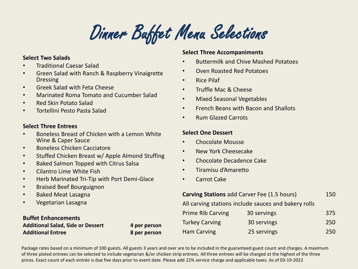Dinner Buffet Menu Selections

#### **Select Two Salads**

- Traditional Caesar Salad
- Green Salad with Ranch & Raspberry Vinaigrette Dressing
- Greek Salad with Feta Cheese
- Marinated Roma Tomato and Cucumber Salad
- Red Skin Potato Salad
- Tortellini Pesto Pasta Salad

#### **Select Three Entrees**

- Boneless Breast of Chicken with a Lemon White Wine & Caper Sauce
- Boneless Chicken Cacciatore
- Stuffed Chicken Breast w/ Apple Almond Stuffing
- Baked Salmon Topped with Citrus Salsa
- Cilantro Lime White Fish
- Herb Marinated Tri-Tip with Port Demi-Glace
- Braised Beef Bourguignon
- Baked Meat Lasagna
- Vegetarian Lasagna

### **Buffet Enhancements** Additional Salad, Side or Dessert 4 per person

**Additional Entree 8 per person** 

#### **Select Three Accompaniments**

- Buttermilk and Chive Mashed Potatoes
- Oven Roasted Red Potatoes
- Rice Pilaf
- Truffle Mac & Cheese
- Mixed Seasonal Vegetables
- French Beans with Bacon and Shallots
- Rum Glazed Carrots

#### **Select One Dessert**

- Chocolate Mousse
- New York Cheesecake
- Chocolate Decadence Cake
- Tiramisu d'Amaretto
- Carrot Cake

**Carving Stations** add Carver Fee (1.5 hours) 150

All carving stations include sauces and bakery rolls

| <b>Prime Rib Carving</b> | 30 servings | 375 |
|--------------------------|-------------|-----|
| Turkey Carving           | 30 servings | 250 |
| Ham Carving              | 25 servings | 250 |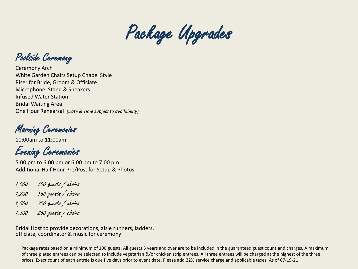

Poolside Ceremony

Ceremony Arch White Garden Chairs Setup Chapel Style Riser for Bride, Groom & Officiate Microphone, Stand & Speakers Infused Water Station Bridal Waiting Area One Hour Rehearsal *(Date & Time subject to availability)*

Morning Ceremonies

10:00am to 11:00am

Evening Ceremonies

5:00 pm to 6:00 pm or 6:00 pm to 7:00 pm Additional Half Hour Pre/Post for Setup & Photos

1,000 100 guests / chairs

- 1,200 150 guests / chairs
- 1,500 200 guests / chairs
- 1,800 250 guests / chairs

Bridal Host to provide decorations, aisle runners, ladders, officiate, coordinator & music for ceremony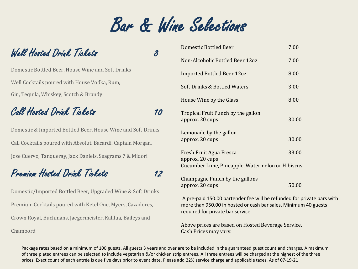Bar & Wine Selections

## Well Hosted Drink Tickets 8

Domestic Bottled Beer, House Wine and Soft Drinks Well Cocktails poured with House Vodka, Rum, Gin, Tequila, Whiskey, Scotch & Brandy

## Call Hosted Drink Tickets 10

Domestic & Imported Bottled Beer, House Wine and Soft Drinks Call Cocktails poured with Absolut, Bacardi, Captain Morgan, Jose Cuervo, Tanqueray, Jack Daniels, Seagrams 7 & Midori

# Premium Hosted Drink Tickets 12

Domestic/Imported Bottled Beer, Upgraded Wine & Soft Drinks Premium Cocktails poured with Ketel One, Myers, Cazadores, Crown Royal, Buchmans, Jaegermeister, Kahlua, Baileys and Chambord

|                                                  | Domestic Bottled Beer                                 | 7.00  |
|--------------------------------------------------|-------------------------------------------------------|-------|
|                                                  | Non-Alcoholic Bottled Beer 12oz                       | 7.00  |
|                                                  | <b>Imported Bottled Beer 12oz</b>                     | 8.00  |
|                                                  | Soft Drinks & Bottled Waters                          | 3.00  |
|                                                  | House Wine by the Glass                               | 8.00  |
|                                                  | Tropical Fruit Punch by the gallon<br>approx. 20 cups | 30.00 |
|                                                  | Lemonade by the gallon<br>approx. 20 cups             | 30.00 |
|                                                  | Fresh Fruit Agua Fresca<br>approx. 20 cups            | 33.00 |
| Cucumber Lime, Pineapple, Watermelon or Hibiscus |                                                       |       |
|                                                  | Champagne Punch by the gallons<br>approx. 20 cups     | 50.00 |
|                                                  |                                                       |       |

A pre-paid 150.00 bartender fee will be refunded for private bars with more than 950.00 in hosted or cash bar sales. Minimum 40 guests required for private bar service.

Above prices are based on Hosted Beverage Service. Cash Prices may vary.